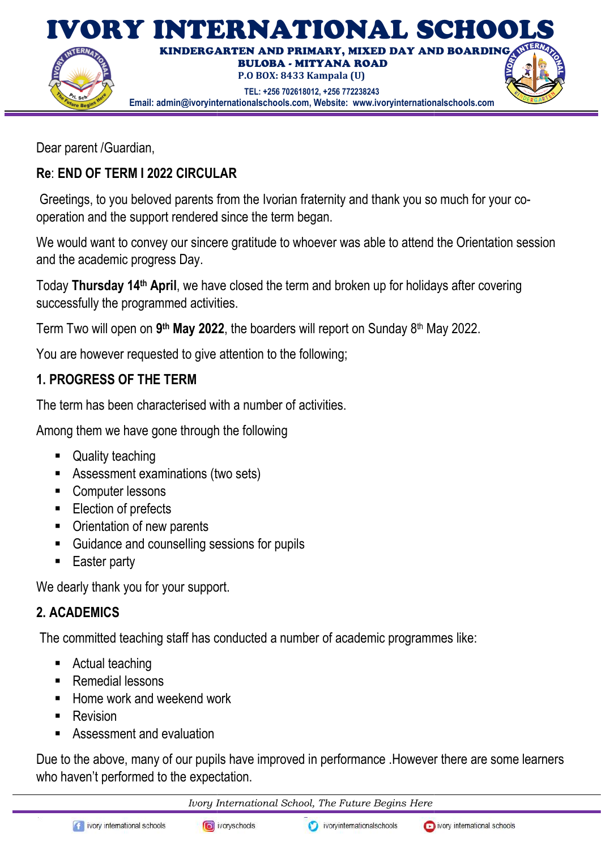

Dear parent /Guardian,

# Re: END OF TERM I 2022 CIRCULAR I 2022 CIRCULAR

Greetings, to you beloved parents from the Ivorian fraternity and thank you so much for your cooperation and the support rendered since the term began.

We would want to convey our sincere gratitude to whoever was able to attend the Orientation session and the academic progress Day.

Today Thursday 14<sup>th</sup> April, we have closed the term and broken up for holidays after successfully the programmed activities operation and the support rendered since the term began.<br>We would want to convey our sincere gratitude to whoever was able to attend the Orie<br>and the academic progress Day.<br>Today **Thursday 14<sup>th</sup> April**, we have closed the covering

Term Two will open on 9<sup>th</sup> May 2022, the boarders will report on Sunday 8<sup>th</sup> May 2022.

You are however requested to give attention to the following;

## 1. PROGRESS OF THE TERM

The term has been characterised with a number of activities.

Among them we have gone through the following

- Quality teaching
- Assessment examinations (two sets)
- Computer lessons
- **Election of prefects**
- Orientation of new parents
- Guidance and counselling sessions for pupils
- Easter party

We dearly thank you for your support.

# 2. ACADEMICS

The committed teaching staff has conducted a number of academic programmes like:

- Actual teaching
- Remedial lessons
- Home work and weekend work
- **Revision**
- **Assessment and evaluation**

Due to the above, many of our pupils have improved in performance .However there are some learners who haven't performed to the expectation.

Ivory International School, The Future Begins Here

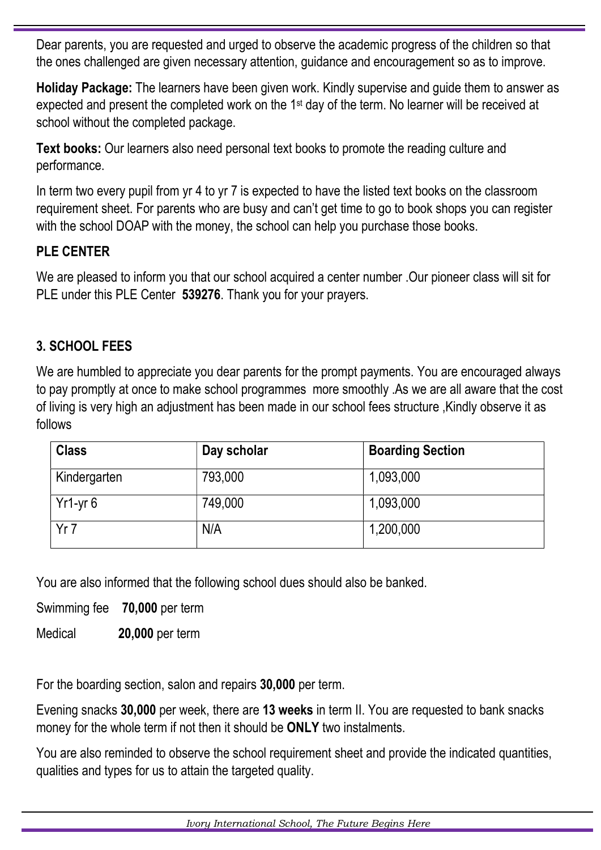Dear parents, you are requested and urged to observe the academic progress of the children so that the ones challenged are given necessary attention, guidance and encouragement so as to improve.

Holiday Package: The learners have been given work. Kindly supervise and guide them to answer as expected and present the completed work on the 1st day of the term. No learner will be received at school without the completed package.

Text books: Our learners also need personal text books to promote the reading culture and performance.

In term two every pupil from yr 4 to yr 7 is expected to have the listed text books on the classroom requirement sheet. For parents who are busy and can't get time to go to book shops you can register with the school DOAP with the money, the school can help you purchase those books.

## PLE CENTER

We are pleased to inform you that our school acquired a center number .Our pioneer class will sit for PLE under this PLE Center 539276. Thank you for your prayers.

# 3. SCHOOL FEES

We are humbled to appreciate you dear parents for the prompt payments. You are encouraged always to pay promptly at once to make school programmes more smoothly .As we are all aware that the cost of living is very high an adjustment has been made in our school fees structure ,Kindly observe it as follows

| <b>Class</b> | Day scholar | <b>Boarding Section</b> |
|--------------|-------------|-------------------------|
| Kindergarten | 793,000     | 1,093,000               |
| $Yr1-yr6$    | 749,000     | 1,093,000               |
| Yr7          | N/A         | 1,200,000               |

You are also informed that the following school dues should also be banked.

Swimming fee 70,000 per term

Medical 20,000 per term

For the boarding section, salon and repairs 30,000 per term.

Evening snacks 30,000 per week, there are 13 weeks in term II. You are requested to bank snacks money for the whole term if not then it should be ONLY two instalments.

You are also reminded to observe the school requirement sheet and provide the indicated quantities, qualities and types for us to attain the targeted quality.